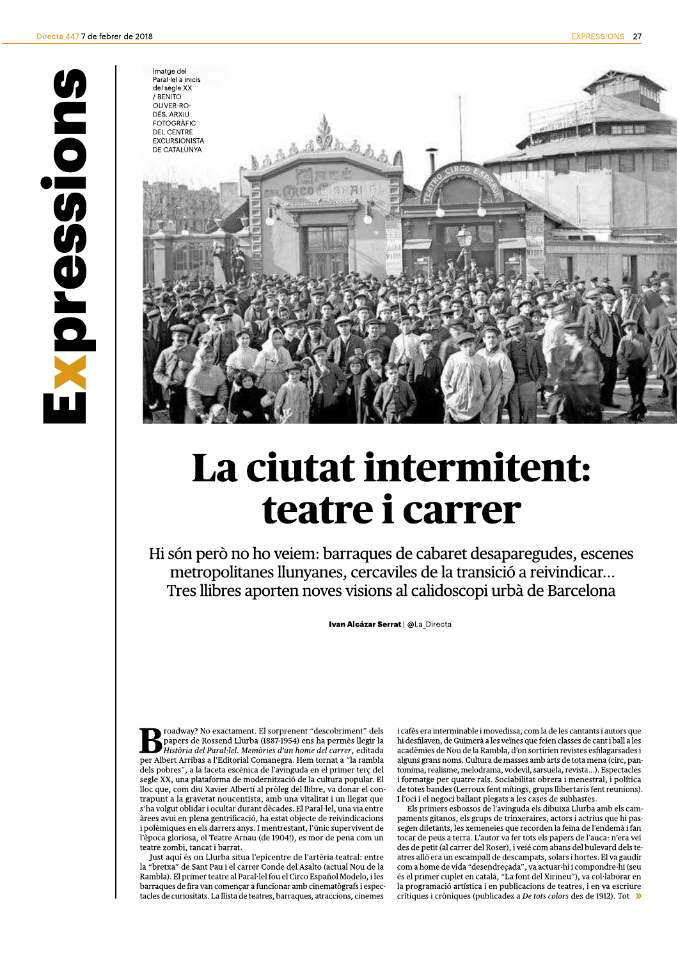

## La ciutat intermitent: teatre i carrer

Hi són però no ho veiem: barraques de cabaret desaparegudes, escenes metropolitanes llunyanes, cercaviles de la transició a reivindicar... Tres llibres aporten noves visions al calidoscopi urbà de Barcelona

Ivan Alcázar Serrat | @La\_Directa

roadway? No exactament. El sorprenent "descobriment" dels papers de Rossend Llurba (1887-1954) ens ha permès llegir la Història del Paral·lel. Memòries d'un home del carrer, editada per Albert Arribas a l'Editorial Comanegra. Hem tornat a "la rambla dels pobres", a la faceta escènica de l'avinguda en el primer terç del segle XX, una plataforma de modernització de la cultura popular. El lloc que, com diu Xavier Albertí al pròleg del llibre, va donar el contrapunt a la gravetat noucentista, amb una vitalitat i un llegat que s'ha volgut oblidar i ocultar durant dècades. El Paral·lel, una via entre àrees avui en plena gentrificació, ha estat objecte de reivindicacions i polèmiques en els darrers anys. I mentrestant, l'únic supervivent de l'època gloriosa, el Teatre Arnau (de 1904!), es mor de pena com un teatre zombi, tancat i barrat.

Just aquí és on Llurba situa l'epicentre de l'artèria teatral: entre la "bretxa" de Sant Pau i el carrer Conde del Asalto (actual Nou de la Rambla). El primer teatre al Paral·lel fou el Circo Español Modelo, i les barraques de fira van començar a funcionar amb cinematògrafs i espec tacles de curiositats. La llista de teatres, barraques, atraccions, cinemes

i cafès era interminable i movedissa, com la de les cantants i autors que hi desfilaven, de Guimerà a les veïnes que feien classes de cant i ball a les acadèmies de Nou de la Rambla, d'on sortirien revistes esfilagarsades i alguns grans noms. Cultura de masses amb arts de tota mena (circ, pantomima, realisme, melodrama, vodevil, sarsuela, revista...). Espectacles i formatge per quatre rals. Sociabilitat obrera i menestral, i política de totes bandes (Lerroux fent mítings, grups llibertaris fent reunions). I l'oci i el negoci ballant plegats a les cases de subhastes

Els primers esbossos de l'avinguda els dibuixa Llurba amb els campaments gitanos, els grups de trinxeraires, actors i actrius que hi pas-.<br>segen diletants, les xemeneies que recorden la feina de l'endemà i fan tocar de peus a terra. L'autor va fer tots els papers de l'auca: n'era veí des de petit (al carrer del Roser), i veié com abans del bulevard dels teatres allò era un escampall de descampats, solars i hortes. El va gaudir com a home de vida "desendreçada", va actuar-hi i compondre-hi (seu és el primer cuplet en català, "La font del Xirineu"), va col·laborar en la programació artística i en publicacions de teatres, i en va escriure crítiques i cròniques (publicades a De tots colors des de 1912). Tot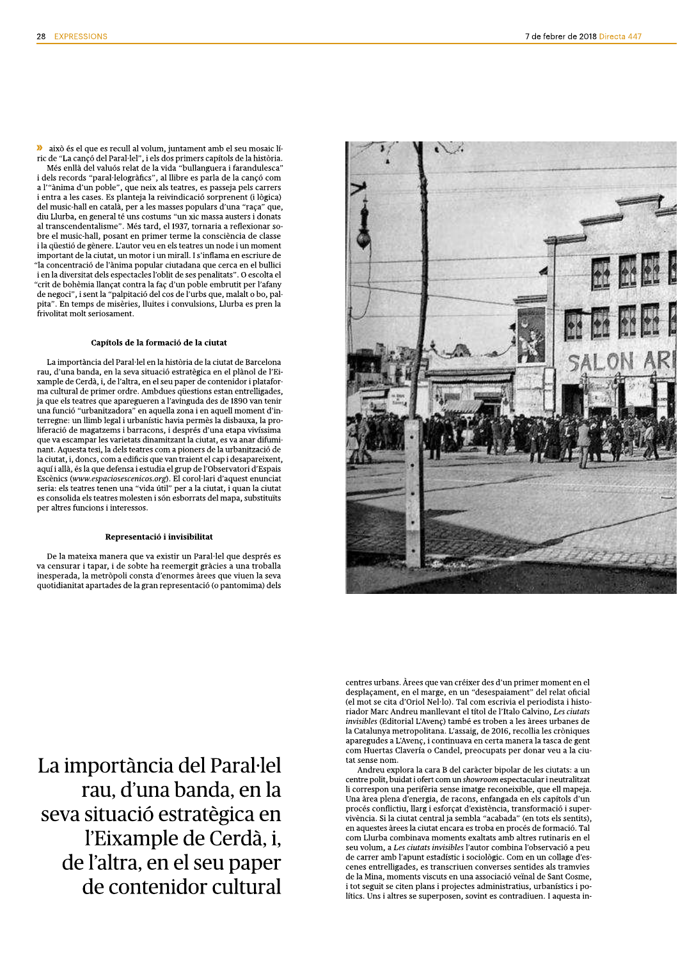>> això és el que es recull al volum, juntament amb el seu mosaic líric de "La cançó del Paral·lel", i els dos primers capítols de la història. Més enllà del valuós relat de la vida "bullanguera i farandulesca" i dels records "paral·lelogràfics", al llibre es parla de la cançó com a l'"ànima d'un poble", que neix als teatres, es passeja pels carrers i entra a les cases. Es planteja la reivindicació sorprenent (i lògica) del music-hall en català, per a les masses populars d'una "raça" que, diu Llurba, en general té uns costums "un xic massa austers i donats al transcendentalisme". Més tard, el 1937, tornaria a reflexionar sobre el music-hall, posant en primer terme la consciència de classe i la qüestió de gènere. L'autor veu en els teatres un node i un moment important de la ciutat, un motor i un mirall. I s'inflama en escriure de "la concentració de l'ànima popular ciutadana que cerca en el bullici i en la diversitat dels espectacles l'oblit de ses penalitats". O escolta el "crit de bohèmia llançat contra la faç d'un poble embrutit per l'afany de negoci", i sent la "palpitació del cos de l'urbs que, malalt o bo, palpita". En temps de misèries, lluites i convulsions, Llurba es pren la frivolitat molt seriosament.

## Capítols de la formació de la ciutat

La importància del Paral·lel en la història de la ciutat de Barcelona rau, d'una banda, en la seva situació estratègica en el plànol de l'Eixample de Cerdà, i, de l'altra, en el seu paper de contenidor i plataforma cultural de primer ordre. Ambdues questions estan entrelligades, ja que els teatres que aparegueren a l'avinguda des de 1890 van tenir una funció "urbanitzadora" en aquella zona i en aquell moment d'interregne: un llimb legal i urbanístic havia permès la disbauxa, la proliferació de magatzems i barracons, i després d'una etapa vivíssima que va escampar les varietats dinamitzant la ciutat, es va anar difuminant. Aquesta tesi, la dels teatres com a pioners de la urbanització de la ciutat, i, doncs, com a edificis que van traient el cap i desapareixent, aquí i allà, és la que defensa i estudia el grup de l'Observatori d'Espais Escènics (www.espaciosescenicos.org). El corol·lari d'aquest enunciat seria: els teatres tenen una "vida útil" per a la ciutat, i quan la ciutat es consolida els teatres molesten i són esborrats del mapa, substituïts per altres funcions i interessos.

## Representació i invisibilitat

De la mateixa manera que va existir un Paral·lel que després es va censurar i tapar, i de sobte ha reemergit gràcies a una troballa inesperada, la metròpoli consta d'enormes àrees que viuen la seva quotidianitat apartades de la gran representació (o pantomima) dels



centres urbans. Àrees que van créixer des d'un primer moment en el desplaçament, en el marge, en un "desespaiament" del relat oficial (el mot se cita d'Oriol Nel·lo). Tal com escrivia el periodista i historiador Marc Andreu manllevant el títol de l'Italo Calvino, Les ciutats *invisibles* (Editorial L'Avenc) també es troben a les àrees urbanes de la Catalunya metropolitana. L'assaig, de 2016, recollia les cròniques aparegudes a L'Avenç, i continuava en certa manera la tasca de gent com Huertas Clavería o Candel, preocupats per donar veu a la ciutat sense nom

Andreu explora la cara B del caràcter bipolar de les ciutats: a un centre polit, buidat i ofert com un showroom espectacular i neutralitzat li correspon una perifèria sense imatge reconeixible, que ell mapeja. Una àrea plena d'energia, de racons, enfangada en els capítols d'un procés conflictiu, llarg i esforçat d'existència, transformació i supervivència. Si la ciutat central ja sembla "acabada" (en tots els sentits), en aquestes àrees la ciutat encara es troba en procés de formació. Tal com Llurba combinava moments exaltats amb altres rutinaris en el seu volum, a Les ciutats invisibles l'autor combina l'observació a peu de carrer amb l'apunt estadístic i sociològic. Com en un collage d'escenes entrelligades, es transcriuen converses sentides als tramvies de la Mina, moments viscuts en una associació veïnal de Sant Cosme, i tot seguit se citen plans i projectes administratius, urbanístics i polítics. Uns i altres se superposen, sovint es contradiuen. I aquesta in-

La importància del Paral·lel rau, d'una banda, en la seva situació estratègica en l'Eixample de Cerdà, i, de l'altra, en el seu paper de contenidor cultural